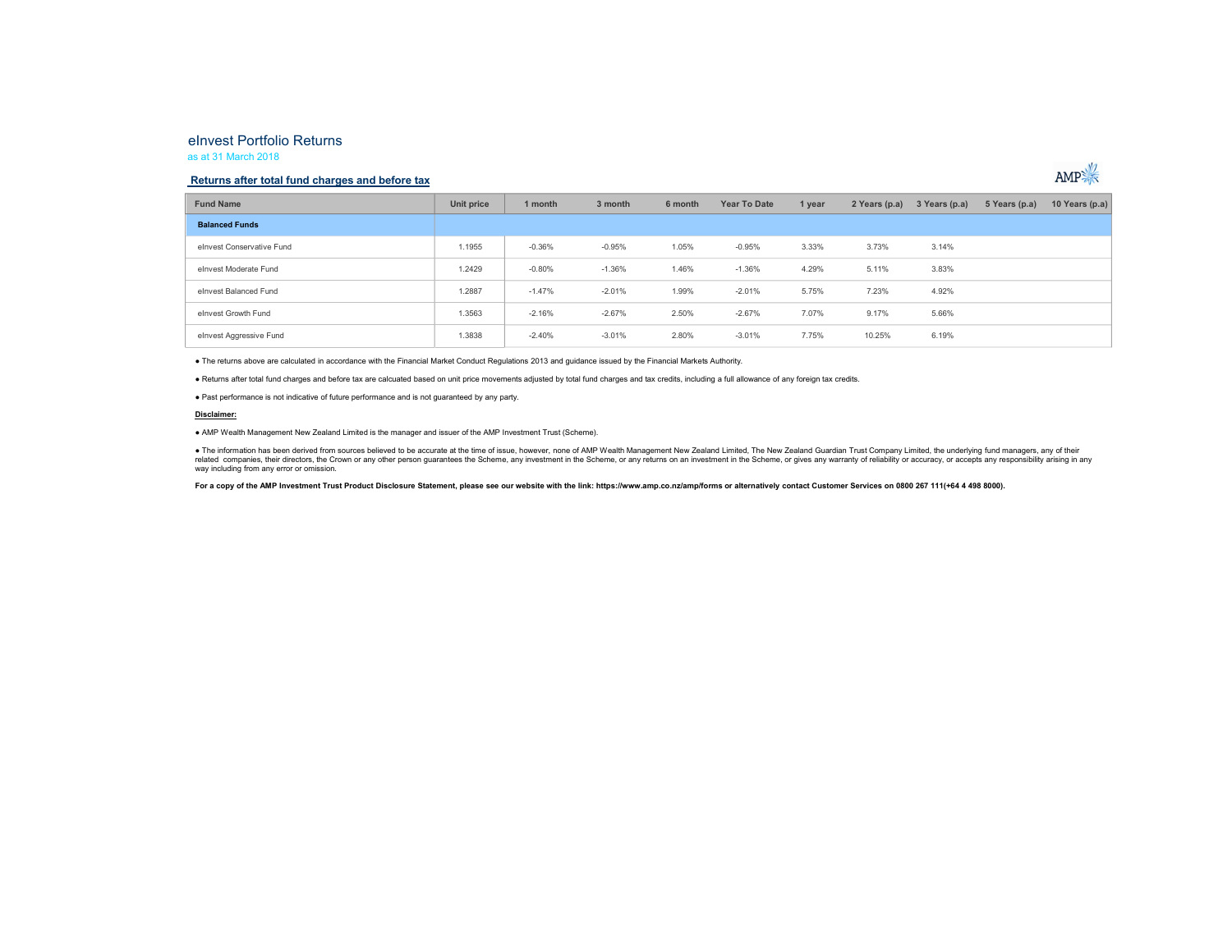# eInvest Portfolio Returns

#### as at 31 March 2018

### Returns after total fund charges and before tax



| <b>Fund Name</b>          | Unit price | 1 month  | 3 month  | 6 month | Year To Date | 1 year | 2 Years (p.a) | 3 Years (p.a) | 5 Years (p.a) | 10 Years (p.a) |
|---------------------------|------------|----------|----------|---------|--------------|--------|---------------|---------------|---------------|----------------|
| <b>Balanced Funds</b>     |            |          |          |         |              |        |               |               |               |                |
| elnvest Conservative Fund | 1.1955     | $-0.36%$ | $-0.95%$ | 1.05%   | $-0.95%$     | 3.33%  | 3.73%         | 3.14%         |               |                |
| elnvest Moderate Fund     | 1.2429     | $-0.80%$ | $-1.36%$ | 1.46%   | $-1.36%$     | 4.29%  | 5.11%         | 3.83%         |               |                |
| elnvest Balanced Fund     | 1.2887     | $-1.47%$ | $-2.01%$ | 1.99%   | $-2.01%$     | 5.75%  | 7.23%         | 4.92%         |               |                |
| elnyest Growth Fund       | 1.3563     | $-2.16%$ | $-2.67%$ | 2.50%   | $-2.67%$     | 7.07%  | 9.17%         | 5.66%         |               |                |
| elnvest Aggressive Fund   | 1.3838     | $-2.40%$ | $-3.01%$ | 2.80%   | $-3.01%$     | 7.75%  | 10.25%        | 6.19%         |               |                |

● The returns above are calculated in accordance with the Financial Market Conduct Regulations 2013 and guidance issued by the Financial Markets Authority.<br>● Returns after total fund charges and before tax are calcuated b

#### Disclaimer:

● AMP Wealth Management New Zealand Limited is the manager and issuer of the AMP Investment Trust (Scheme).

● The information has been derived from sources believed to be accurate at the time of issue, however, none of AMP Wealth Management New Zealand Limited, The New Zealand Guardian Trust Company Limited, the underlying fund

For a copy of the AMP Investment Trust Product Disclosure Statement, please see our website with the link: https://www.amp.co.nz/amp/forms or alternatively contact Customer Services on 0800 267 111(+64 4 498 8000).